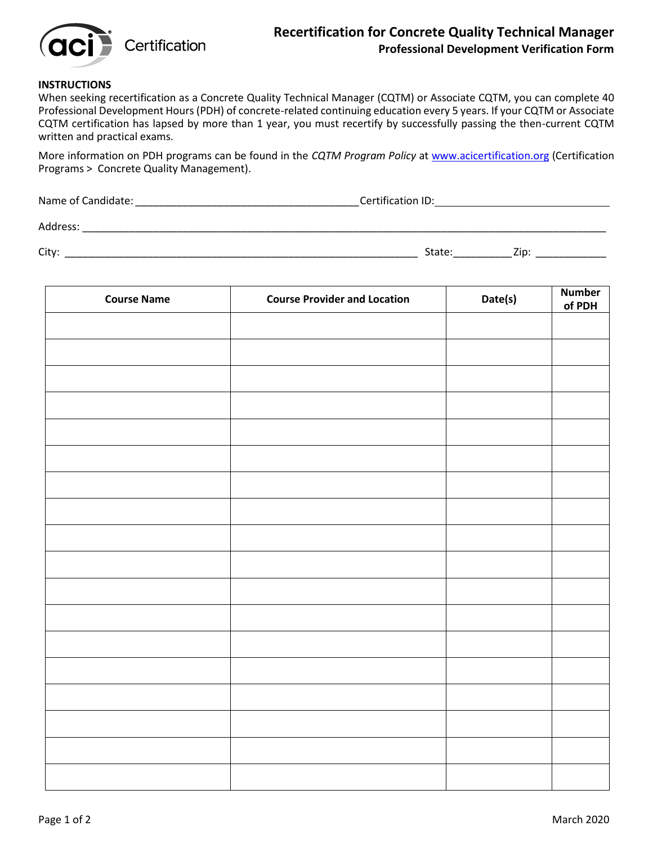

## **Recertification for Concrete Quality Technical Manager Professional Development Verification Form**

## **INSTRUCTIONS**

When seeking recertification as a Concrete Quality Technical Manager (CQTM) or Associate CQTM, you can complete 40 Professional Development Hours (PDH) of concrete-related continuing education every 5 years. If your CQTM or Associate CQTM certification has lapsed by more than 1 year, you must recertify by successfully passing the then-current CQTM written and practical exams.

More information on PDH programs can be found in the *CQTM Program Policy* a[t www.acicertification.org](http://www.acicertification.org/) (Certification Programs > Concrete Quality Management).

Name of Candidate: \_\_\_\_\_\_\_\_\_\_\_\_\_\_\_\_\_\_\_\_\_\_\_\_\_\_\_\_\_\_\_\_\_\_\_\_\_\_Certification ID:

Address: \_\_\_\_\_\_\_\_\_\_\_\_\_\_\_\_\_\_\_\_\_\_\_\_\_\_\_\_\_\_\_\_\_\_\_\_\_\_\_\_\_\_\_\_\_\_\_\_\_\_\_\_\_\_\_\_\_\_\_\_\_\_\_\_\_\_\_\_\_\_\_\_\_\_\_\_\_\_\_\_\_\_\_\_\_\_\_\_\_

City: \_\_\_\_\_\_\_\_\_\_\_\_\_\_\_\_\_\_\_\_\_\_\_\_\_\_\_\_\_\_\_\_\_\_\_\_\_\_\_\_\_\_\_\_\_\_\_\_\_\_\_\_\_\_\_\_\_\_\_\_ State:\_\_\_\_\_\_\_\_\_\_Zip: \_\_\_\_\_\_\_\_\_\_\_\_

| <b>Course Name</b> | <b>Course Provider and Location</b> | Date(s) | <b>Number</b><br>of PDH |
|--------------------|-------------------------------------|---------|-------------------------|
|                    |                                     |         |                         |
|                    |                                     |         |                         |
|                    |                                     |         |                         |
|                    |                                     |         |                         |
|                    |                                     |         |                         |
|                    |                                     |         |                         |
|                    |                                     |         |                         |
|                    |                                     |         |                         |
|                    |                                     |         |                         |
|                    |                                     |         |                         |
|                    |                                     |         |                         |
|                    |                                     |         |                         |
|                    |                                     |         |                         |
|                    |                                     |         |                         |
|                    |                                     |         |                         |
|                    |                                     |         |                         |
|                    |                                     |         |                         |
|                    |                                     |         |                         |